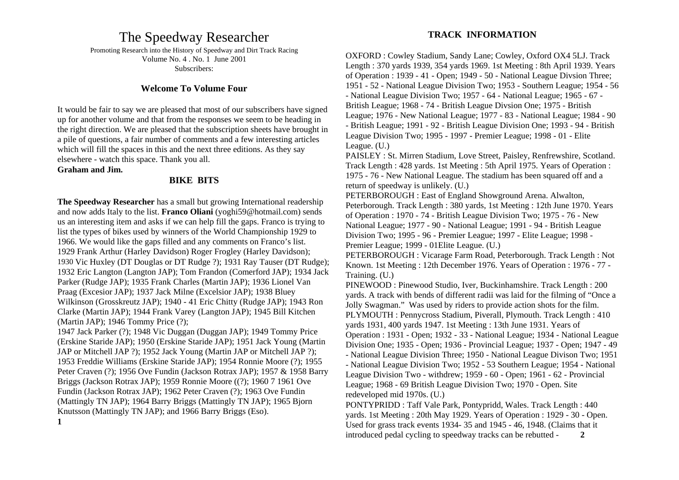# The Speedway Researcher

Promoting Research into the History of Speedway and Dirt Track Racing Volume No. 4 . No. 1 June 2001 Subscribers:

#### **Welcome To Volume Four**

It would be fair to say we are pleased that most of our subscribers have signed up for another volume and that from the responses we seem to be heading in the right direction. We are pleased that the subscription sheets have brought in a pile of questions, a fair number of comments and a few interesting articles which will fill the spaces in this and the next three editions. As they say elsewhere - watch this space. Thank you all.

#### **Graham and Jim.**

#### **BIKE BITS**

**The Speedway Researcher** has a small but growing International readership and now adds Italy to the list. **Franco Oliani** (yoghi59@hotmail.com) sends us an interesting item and asks if we can help fill the gaps. Franco is trying to list the types of bikes used by winners of the World Championship 1929 to 1966. We would like the gaps filled and any comments on Franco's list. 1929 Frank Arthur (Harley Davidson) Roger Frogley (Harley Davidson); 1930 Vic Huxley (DT Douglas or DT Rudge ?); 1931 Ray Tauser (DT Rudge); 1932 Eric Langton (Langton JAP); Tom Frandon (Comerford JAP); 1934 Jack Parker (Rudge JAP); 1935 Frank Charles (Martin JAP); 1936 Lionel Van Praag (Excesior JAP); 1937 Jack Milne (Excelsior JAP); 1938 Bluey Wilkinson (Grosskreutz JAP); 1940 - 41 Eric Chitty (Rudge JAP); 1943 Ron Clarke (Martin JAP); 1944 Frank Varey (Langton JAP); 1945 Bill Kitchen (Martin JAP); 1946 Tommy Price (?);

1947 Jack Parker (?); 1948 Vic Duggan (Duggan JAP); 1949 Tommy Price (Erskine Staride JAP); 1950 (Erskine Staride JAP); 1951 Jack Young (Martin JAP or Mitchell JAP ?); 1952 Jack Young (Martin JAP or Mitchell JAP ?); 1953 Freddie Williams (Erskine Staride JAP); 1954 Ronnie Moore (?); 1955 Peter Craven (?); 1956 Ove Fundin (Jackson Rotrax JAP); 1957 & 1958 Barry Briggs (Jackson Rotrax JAP); 1959 Ronnie Moore ((?); 1960 7 1961 Ove Fundin (Jackson Rotrax JAP); 1962 Peter Craven (?); 1963 Ove Fundin (Mattingly TN JAP); 1964 Barry Briggs (Mattingly TN JAP); 1965 Bjorn Knutsson (Mattingly TN JAP); and 1966 Barry Briggs (Eso). **1**

#### **TRACK INFORMATION**

OXFORD : Cowley Stadium, Sandy Lane; Cowley, Oxford OX4 5LJ. Track Length : 370 yards 1939, 354 yards 1969. 1st Meeting : 8th April 1939. Years of Operation : 1939 - 41 - Open; 1949 - 50 - National League Divsion Three; 1951 - 52 - National League Division Two; 1953 - Southern League; 1954 - 56 - National League Division Two; 1957 - 64 - National League; 1965 - 67 - British League; 1968 - 74 - British League Divsion One; 1975 - British League; 1976 - New National League; 1977 - 83 - National League; 1984 - 90 - British League; 1991 - 92 - British League Division One; 1993 - 94 - British League Division Two; 1995 - 1997 - Premier League; 1998 - 01 - Elite League. (U.)

PAISLEY : St. Mirren Stadium, Love Street, Paisley, Renfrewshire, Scotland. Track Length : 428 yards. 1st Meeting : 5th April 1975. Years of Operation : 1975 - 76 - New National League. The stadium has been squared off and a return of speedway is unlikely. (U.)

PETERBOROUGH : East of England Showground Arena. Alwalton, Peterborough. Track Length : 380 yards, 1st Meeting : 12th June 1970. Years of Operation : 1970 - 74 - British League Division Two; 1975 - 76 - New National League; 1977 - 90 - National League; 1991 - 94 - British League Division Two; 1995 - 96 - Premier League; 1997 - Elite League; 1998 - Premier League; 1999 - 01Elite League. (U.)

PETERBOROUGH : Vicarage Farm Road, Peterborough. Track Length : Not Known. 1st Meeting : 12th December 1976. Years of Operation : 1976 - 77 - Training. (U.)

PINEWOOD : Pinewood Studio, Iver, Buckinhamshire. Track Length : 200 yards. A track with bends of different radii was laid for the filming of "Once a Jolly Swagman." Was used by riders to provide action shots for the film. PLYMOUTH : Pennycross Stadium, Piverall, Plymouth. Track Length : 410 yards 1931, 400 yards 1947. 1st Meeting : 13th June 1931. Years of Operation : 1931 - Open; 1932 - 33 - National League; 1934 - National League Division One; 1935 - Open; 1936 - Provincial League; 1937 - Open; 1947 - 49 - National League Division Three; 1950 - National League Divison Two; 1951 - National League Division Two; 1952 - 53 Southern League; 1954 - National League Division Two - withdrew; 1959 - 60 - Open; 1961 - 62 - Provincial League; 1968 - 69 British League Division Two; 1970 - Open. Site redeveloped mid 1970s. (U.) PONTYPRIDD : Taff Vale Park, Pontypridd, Wales. Track Length : 440

yards. 1st Meeting : 20th May 1929. Years of Operation : 1929 - 30 - Open. Used for grass track events 1934- 35 and 1945 - 46, 1948. (Claims that it introduced pedal cycling to speedway tracks can be rebutted - **2**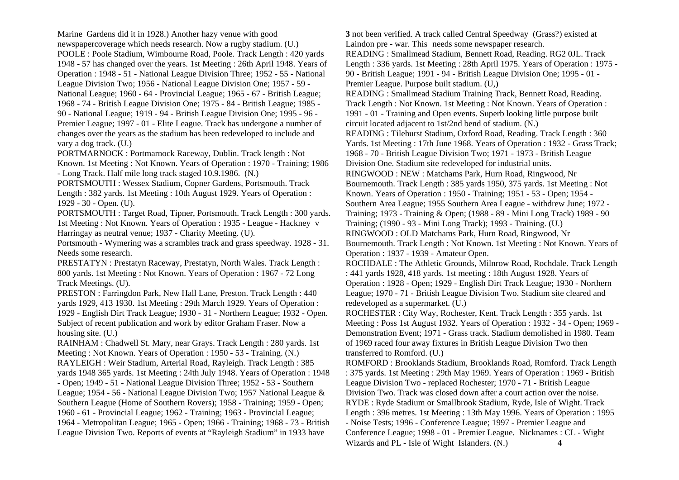Marine Gardens did it in 1928.) Another hazy venue with good newspapercoverage which needs research. Now a rugby stadium. (U.) POOLE : Poole Stadium, Wimbourne Road, Poole. Track Length : 420 yards 1948 - 57 has changed over the years. 1st Meeting : 26th April 1948. Years of Operation : 1948 - 51 - National League Division Three; 1952 - 55 - National League Division Two; 1956 - National League Division One; 1957 - 59 - National League; 1960 - 64 - Provincial League; 1965 - 67 - British League; 1968 - 74 - British League Division One; 1975 - 84 - British League; 1985 - 90 - National League; 1919 - 94 - British League Division One; 1995 - 96 - Premier League; 1997 - 01 - Elite League. Track has undergone a number of changes over the years as the stadium has been redeveloped to include and vary a dog track. (U.)

PORTMARNOCK : Portmarnock Raceway, Dublin. Track length : Not Known. 1st Meeting : Not Known. Years of Operation : 1970 - Training; 1986 - Long Track. Half mile long track staged 10.9.1986. (N.)

PORTSMOUTH : Wessex Stadium, Copner Gardens, Portsmouth. Track Length : 382 yards. 1st Meeting : 10th August 1929. Years of Operation : 1929 - 30 - Open. (U).

PORTSMOUTH : Target Road, Tipner, Portsmouth. Track Length : 300 yards. 1st Meeting : Not Known. Years of Operation : 1935 - League - Hackney v Harringay as neutral venue; 1937 - Charity Meeting. (U).

Portsmouth - Wymering was a scrambles track and grass speedway. 1928 - 31. Needs some research.

PRESTATYN : Prestatyn Raceway, Prestatyn, North Wales. Track Length : 800 yards. 1st Meeting : Not Known. Years of Operation : 1967 - 72 Long Track Meetings. (U).

PRESTON : Farringdon Park, New Hall Lane, Preston. Track Length : 440 yards 1929, 413 1930. 1st Meeting : 29th March 1929. Years of Operation : 1929 - English Dirt Track League; 1930 - 31 - Northern League; 1932 - Open. Subject of recent publication and work by editor Graham Fraser. Now a housing site. (U.)

RAINHAM : Chadwell St. Mary, near Grays. Track Length : 280 yards. 1st Meeting : Not Known. Years of Operation : 1950 - 53 - Training. (N.) RAYLEIGH : Weir Stadium, Arterial Road, Rayleigh. Track Length : 385 yards 1948 365 yards. 1st Meeting : 24th July 1948. Years of Operation : 1948 - Open; 1949 - 51 - National League Division Three; 1952 - 53 - Southern League; 1954 - 56 - National League Division Two; 1957 National League & Southern League (Home of Southern Rovers); 1958 - Training; 1959 - Open; 1960 - 61 - Provincial League; 1962 - Training; 1963 - Provincial League; 1964 - Metropolitan League; 1965 - Open; 1966 - Training; 1968 - 73 - British League Division Two. Reports of events at "Rayleigh Stadium" in 1933 have

**3** not been verified. A track called Central Speedway (Grass?) existed at Laindon pre - war. This needs some newspaper research. READING : Smallmead Stadium, Bennett Road, Reading. RG2 0JL. Track Length : 336 yards. 1st Meeting : 28th April 1975. Years of Operation : 1975 - 90 - British League; 1991 - 94 - British League Division One; 1995 - 01 - Premier League. Purpose built stadium. (U,) READING : Smallmead Stadium Training Track, Bennett Road, Reading. Track Length : Not Known. 1st Meeting : Not Known. Years of Operation : 1991 - 01 - Training and Open events. Superb looking little purpose built circuit located adjacent to 1st/2nd bend of stadium. (N.) READING : Tilehurst Stadium, Oxford Road, Reading. Track Length : 360 Yards. 1st Meeting : 17th June 1968. Years of Operation : 1932 - Grass Track; 1968 - 70 - British League Division Two; 1971 - 1973 - British League Division One. Stadium site redeveloped for industrial units. RINGWOOD : NEW : Matchams Park, Hurn Road, Ringwood, Nr Bournemouth. Track Length : 385 yards 1950, 375 yards. 1st Meeting : Not Known. Years of Operation : 1950 - Training; 1951 - 53 - Open; 1954 - Southern Area League; 1955 Southern Area League - withdrew June; 1972 - Training; 1973 - Training & Open; (1988 - 89 - Mini Long Track) 1989 - 90 Training; (1990 - 93 - Mini Long Track); 1993 - Training. (U.) RINGWOOD : OLD Matchams Park, Hurn Road, Ringwood, Nr Bournemouth. Track Length : Not Known. 1st Meeting : Not Known. Years of Operation : 1937 - 1939 - Amateur Open. ROCHDALE : The Athletic Grounds, Milnrow Road, Rochdale. Track Length : 441 yards 1928, 418 yards. 1st meeting : 18th August 1928. Years of Operation : 1928 - Open; 1929 - English Dirt Track League; 1930 - Northern League; 1970 - 71 - British League Division Two. Stadium site cleared and redeveloped as a supermarket. (U.) ROCHESTER : City Way, Rochester, Kent. Track Length : 355 yards. 1st Meeting : Poss 1st August 1932. Years of Operation : 1932 - 34 - Open; 1969 - Demonstration Event; 1971 - Grass track. Stadium demolished in 1980. Team of 1969 raced four away fixtures in British League Division Two then transferred to Romford. (U.) ROMFORD : Brooklands Stadium, Brooklands Road, Romford. Track Length : 375 yards. 1st Meeting : 29th May 1969. Years of Operation : 1969 - British League Division Two - replaced Rochester; 1970 - 71 - British League

Division Two. Track was closed down after a court action over the noise. RYDE : Ryde Stadium or Smallbrook Stadium, Ryde, Isle of Wight. Track Length : 396 metres. 1st Meeting : 13th May 1996. Years of Operation : 1995 - Noise Tests; 1996 - Conference League; 1997 - Premier League and Conference League; 1998 - 01 - Premier League. Nicknames : CL - Wight Wizards and PL - Isle of Wight Islanders. (N.) **4**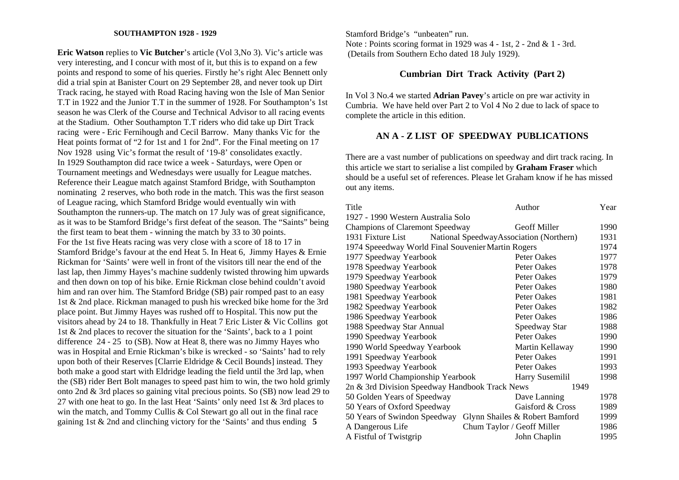#### **SOUTHAMPTON 1928 - 1929**

**Eric Watson** replies to **Vic Butcher**'s article (Vol 3,No 3). Vic's article was very interesting, and I concur with most of it, but this is to expand on a few points and respond to some of his queries. Firstly he's right Alec Bennett only did a trial spin at Banister Court on 29 September 28, and never took up Dirt Track racing, he stayed with Road Racing having won the Isle of Man Senior T.T in 1922 and the Junior T.T in the summer of 1928. For Southampton's 1st season he was Clerk of the Course and Technical Advisor to all racing events at the Stadium. Other Southampton T.T riders who did take up Dirt Track racing were - Eric Fernihough and Cecil Barrow. Many thanks Vic for the Heat points format of "2 for 1st and 1 for 2nd". For the Final meeting on 17 Nov 1928 using Vic's format the result of '19-8' consolidates exactly. In 1929 Southampton did race twice a week - Saturdays, were Open or Tournament meetings and Wednesdays were usually for League matches. Reference their League match against Stamford Bridge, with Southampton nominating 2 reserves, who both rode in the match. This was the first season of League racing, which Stamford Bridge would eventually win with Southampton the runners-up. The match on 17 July was of great significance, as it was to be Stamford Bridge's first defeat of the season. The "Saints" being the first team to beat them - winning the match by 33 to 30 points. For the 1st five Heats racing was very close with a score of 18 to 17 in Stamford Bridge's favour at the end Heat 5. In Heat 6, Jimmy Hayes & Ernie Rickman for 'Saints' were well in front of the visitors till near the end of the last lap, then Jimmy Hayes's machine suddenly twisted throwing him upwards and then down on top of his bike. Ernie Rickman close behind couldn't avoid him and ran over him. The Stamford Bridge (SB) pair romped past to an easy 1st & 2nd place. Rickman managed to push his wrecked bike home for the 3rd place point. But Jimmy Hayes was rushed off to Hospital. This now put the visitors ahead by 24 to 18. Thankfully in Heat 7 Eric Lister & Vic Collins got 1st & 2nd places to recover the situation for the 'Saints', back to a 1 point difference 24 - 25 to (SB). Now at Heat 8, there was no Jimmy Hayes who was in Hospital and Ernie Rickman's bike is wrecked - so 'Saints' had to rely upon both of their Reserves [Clarrie Eldridge & Cecil Bounds] instead. They both make a good start with Eldridge leading the field until the 3rd lap, when the (SB) rider Bert Bolt manages to speed past him to win, the two hold grimly onto 2nd & 3rd places so gaining vital precious points. So (SB) now lead 29 to 27 with one heat to go. In the last Heat 'Saints' only need 1st & 3rd places to win the match, and Tommy Cullis & Col Stewart go all out in the final race gaining 1st & 2nd and clinching victory for the 'Saints' and thus ending **5** 

Stamford Bridge's "unbeaten" run. Note : Points scoring format in 1929 was 4 - 1st, 2 - 2nd & 1 - 3rd. (Details from Southern Echo dated 18 July 1929).

## **Cumbrian Dirt Track Activity (Part 2)**

In Vol 3 No.4 we started **Adrian Pavey**'s article on pre war activity in Cumbria. We have held over Part 2 to Vol 4 No 2 due to lack of space to complete the article in this edition.

## **AN A - Z LIST OF SPEEDWAY PUBLICATIONS**

There are a vast number of publications on speedway and dirt track racing. In this article we start to serialise a list compiled by **Graham Fraser** which should be a useful set of references. Please let Graham know if he has missed out any items.

| Title                                              | Author                                  | Year |
|----------------------------------------------------|-----------------------------------------|------|
| 1927 - 1990 Western Australia Solo                 |                                         |      |
| <b>Champions of Claremont Speedway</b>             | <b>Geoff Miller</b>                     | 1990 |
| 1931 Fixture List                                  | National SpeedwayAssociation (Northern) | 1931 |
| 1974 Speeedway World Final Souvenier Martin Rogers |                                         | 1974 |
| 1977 Speedway Yearbook                             | Peter Oakes                             | 1977 |
| 1978 Speedway Yearbook                             | Peter Oakes                             | 1978 |
| 1979 Speedway Yearbook                             | Peter Oakes                             | 1979 |
| 1980 Speedway Yearbook                             | Peter Oakes                             | 1980 |
| 1981 Speedway Yearbook                             | Peter Oakes                             | 1981 |
| 1982 Speedway Yearbook                             | Peter Oakes                             | 1982 |
| 1986 Speedway Yearbook                             | Peter Oakes                             | 1986 |
| 1988 Speedway Star Annual                          | Speedway Star                           | 1988 |
| 1990 Speedway Yearbook                             | Peter Oakes                             | 1990 |
| 1990 World Speedway Yearbook                       | Martin Kellaway                         | 1990 |
| 1991 Speedway Yearbook                             | Peter Oakes                             | 1991 |
| 1993 Speedway Yearbook                             | Peter Oakes                             | 1993 |
| 1997 World Championship Yearbook                   | Harry Susemilil                         | 1998 |
| 2n & 3rd Division Speedway Handbook Track News     | 1949                                    |      |
| 50 Golden Years of Speedway                        | Dave Lanning                            | 1978 |
| 50 Years of Oxford Speedway                        | Gaisford & Cross                        | 1989 |
| 50 Years of Swindon Speedway                       | Glynn Shailes & Robert Bamford          | 1999 |
| A Dangerous Life                                   | Chum Taylor / Geoff Miller              | 1986 |
| A Fistful of Twistgrip                             | John Chaplin                            | 1995 |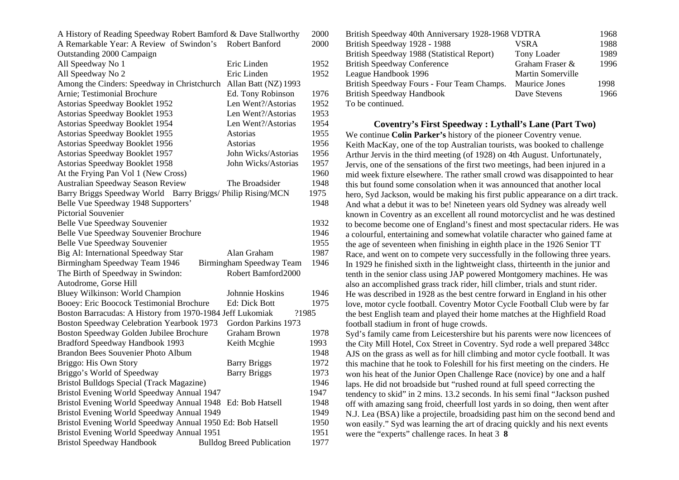| A History of Reading Speedway Robert Bamford & Dave Stallworthy |                                  | 2000  |  |  |  |  |
|-----------------------------------------------------------------|----------------------------------|-------|--|--|--|--|
| A Remarkable Year: A Review of Swindon's                        | Robert Banford                   | 2000  |  |  |  |  |
| Outstanding 2000 Campaign                                       |                                  |       |  |  |  |  |
| All Speedway No 1                                               | Eric Linden                      | 1952  |  |  |  |  |
| All Speedway No 2                                               | Eric Linden                      | 1952  |  |  |  |  |
| Among the Cinders: Speedway in Christchurch                     | Allan Batt (NZ) 1993             |       |  |  |  |  |
| Arnie; Testimonial Brochure                                     | Ed. Tony Robinson                | 1976  |  |  |  |  |
| Astorias Speedway Booklet 1952                                  | Len Went?/Astorias               | 1952  |  |  |  |  |
| Astorias Speedway Booklet 1953                                  | Len Went?/Astorias               | 1953  |  |  |  |  |
| Astorias Speedway Booklet 1954                                  | Len Went?/Astorias               | 1954  |  |  |  |  |
| Astorias Speedway Booklet 1955                                  | Astorias                         | 1955  |  |  |  |  |
| Astorias Speedway Booklet 1956                                  | Astorias                         | 1956  |  |  |  |  |
| Astorias Speedway Booklet 1957                                  | John Wicks/Astorias              | 1956  |  |  |  |  |
| Astorias Speedway Booklet 1958                                  | John Wicks/Astorias              | 1957  |  |  |  |  |
| At the Frying Pan Vol 1 (New Cross)                             |                                  | 1960  |  |  |  |  |
| Australian Speedway Season Review                               | The Broadsider                   | 1948  |  |  |  |  |
| Barry Briggs Speedway World                                     | Barry Briggs/ Philip Rising/MCN  | 1975  |  |  |  |  |
| Belle Vue Speedway 1948 Supporters'                             |                                  | 1948  |  |  |  |  |
| Pictorial Souvenier                                             |                                  |       |  |  |  |  |
| Belle Vue Speedway Souvenier                                    |                                  | 1932  |  |  |  |  |
| Belle Vue Speedway Souvenier Brochure                           |                                  | 1946  |  |  |  |  |
| Belle Vue Speedway Souvenier                                    |                                  | 1955  |  |  |  |  |
| Big Al: International Speedway Star                             | Alan Graham                      | 1987  |  |  |  |  |
| Birmingham Speedway Team 1946                                   | Birmingham Speedway Team         | 1946  |  |  |  |  |
| The Birth of Speedway in Swindon:                               | Robert Bamford2000               |       |  |  |  |  |
| Autodrome, Gorse Hill                                           |                                  |       |  |  |  |  |
| Bluey Wilkinson: World Champion                                 | Johnnie Hoskins                  | 1946  |  |  |  |  |
| Booey: Eric Boocock Testimonial Brochure                        | Ed: Dick Bott                    | 1975  |  |  |  |  |
| Boston Barracudas: A History from 1970-1984 Jeff Lukomiak       |                                  | ?1985 |  |  |  |  |
| Boston Speedway Celebration Yearbook 1973                       | Gordon Parkins 1973              |       |  |  |  |  |
| Boston Speedway Golden Jubilee Brochure                         | <b>Graham Brown</b>              | 1978  |  |  |  |  |
| Bradford Speedway Handbook 1993                                 | Keith Mcghie                     | 1993  |  |  |  |  |
| Brandon Bees Souvenier Photo Album                              |                                  | 1948  |  |  |  |  |
| Briggo: His Own Story                                           | <b>Barry Briggs</b>              | 1972  |  |  |  |  |
| Briggo's World of Speedway                                      | <b>Barry Briggs</b>              | 1973  |  |  |  |  |
| Bristol Bulldogs Special (Track Magazine)                       |                                  | 1946  |  |  |  |  |
| Bristol Evening World Speedway Annual 1947                      |                                  | 1947  |  |  |  |  |
| Bristol Evening World Speedway Annual 1948<br>Ed: Bob Hatsell   |                                  |       |  |  |  |  |
| Bristol Evening World Speedway Annual 1949                      |                                  |       |  |  |  |  |
| Bristol Evening World Speedway Annual 1950 Ed: Bob Hatsell      |                                  |       |  |  |  |  |
| Bristol Evening World Speedway Annual 1951                      |                                  | 1951  |  |  |  |  |
| <b>Bristol Speedway Handbook</b>                                | <b>Bulldog Breed Publication</b> | 1977  |  |  |  |  |

| British Speedway 40th Anniversary 1928-1968 VDTRA |                          | 1968 |
|---------------------------------------------------|--------------------------|------|
| British Speedway 1928 - 1988                      | <b>VSRA</b>              | 1988 |
| British Speedway 1988 (Statistical Report)        | Tony Loader              | 1989 |
| <b>British Speedway Conference</b>                | Graham Fraser &          | 1996 |
| League Handbook 1996                              | <b>Martin Somerville</b> |      |
| British Speedway Fours - Four Team Champs.        | <b>Maurice Jones</b>     | 1998 |
| <b>British Speedway Handbook</b>                  | Dave Stevens             | 1966 |
| To be continued.                                  |                          |      |

**Coventry's First Speedway : Lythall's Lane (Part Two)**  We continue **Colin Parker's** history of the pioneer Coventry venue. Keith MacKay, one of the top Australian tourists, was booked to challenge Arthur Jervis in the third meeting (of 1928) on 4th August. Unfortunately, Jervis, one of the sensations of the first two meetings, had been injured in a mid week fixture elsewhere. The rather small crowd was disappointed to hear this but found some consolation when it was announced that another local hero, Syd Jackson, would be making his first public appearance on a dirt track. And what a debut it was to be! Nineteen years old Sydney was already well known in Coventry as an excellent all round motorcyclist and he was destined to become become one of England's finest and most spectacular riders. He was a colourful, entertaining and somewhat volatile character who gained fame at the age of seventeen when finishing in eighth place in the 1926 Senior TT Race, and went on to compete very successfully in the following three years. In 1929 he finished sixth in the lightweight class, thirteenth in the junior and tenth in the senior class using JAP powered Montgomery machines. He was also an accomplished grass track rider, hill climber, trials and stunt rider. He was described in 1928 as the best centre forward in England in his other love, motor cycle football. Coventry Motor Cycle Football Club were by far the best English team and played their home matches at the Highfield Road football stadium in front of huge crowds.

Syd's family came from Leicestershire but his parents were now licencees of the City Mill Hotel, Cox Street in Coventry. Syd rode a well prepared 348cc AJS on the grass as well as for hill climbing and motor cycle football. It was this machine that he took to Foleshill for his first meeting on the cinders. He won his heat of the Junior Open Challenge Race (novice) by one and a half laps. He did not broadside but "rushed round at full speed correcting the tendency to skid" in 2 mins. 13.2 seconds. In his semi final "Jackson pushed off with amazing sang froid, cheerfull lost yards in so doing, then went after N.J. Lea (BSA) like a projectile, broadsiding past him on the second bend and won easily." Syd was learning the art of dracing quickly and his next events were the "experts" challenge races. In heat 3 **8**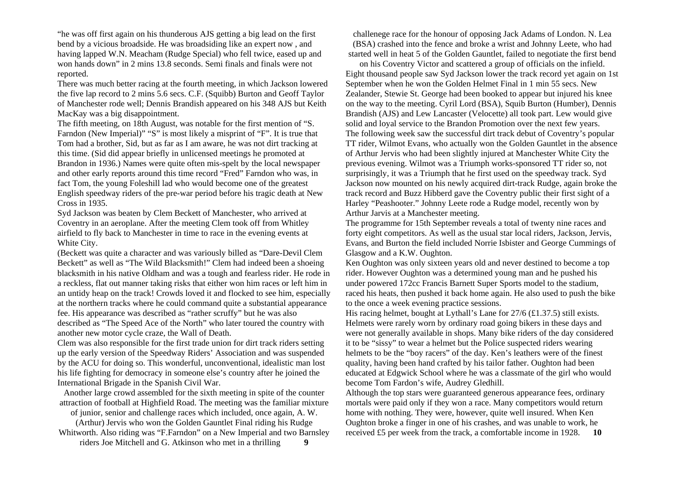"he was off first again on his thunderous AJS getting a big lead on the first bend by a vicious broadside. He was broadsiding like an expert now , and having lapped W.N. Meacham (Rudge Special) who fell twice, eased up and won hands down" in 2 mins 13.8 seconds. Semi finals and finals were not reported.

There was much better racing at the fourth meeting, in which Jackson lowered the five lap record to 2 mins 5.6 secs. C.F. (Squibb) Burton and Geoff Taylor of Manchester rode well; Dennis Brandish appeared on his 348 AJS but Keith MacKay was a big disappointment.

The fifth meeting, on 18th August, was notable for the first mention of "S. Farndon (New Imperial)" "S" is most likely a misprint of "F". It is true that Tom had a brother, Sid, but as far as I am aware, he was not dirt tracking at this time. (Sid did appear briefly in unlicensed meetings he promoted at Brandon in 1936.) Names were quite often mis-spelt by the local newspaper and other early reports around this time record "Fred" Farndon who was, in fact Tom, the young Foleshill lad who would become one of the greatest English speedway riders of the pre-war period before his tragic death at New Cross in 1935.

Syd Jackson was beaten by Clem Beckett of Manchester, who arrived at Coventry in an aeroplane. After the meeting Clem took off from Whitley airfield to fly back to Manchester in time to race in the evening events at White City.

(Beckett was quite a character and was variously billed as "Dare-Devil Clem Beckett" as well as "The Wild Blacksmith!" Clem had indeed been a shoeing blacksmith in his native Oldham and was a tough and fearless rider. He rode in a reckless, flat out manner taking risks that either won him races or left him in an untidy heap on the track! Crowds loved it and flocked to see him, especially at the northern tracks where he could command quite a substantial appearance fee. His appearance was described as "rather scruffy" but he was also described as "The Speed Ace of the North" who later toured the country with another new motor cycle craze, the Wall of Death.

Clem was also responsible for the first trade union for dirt track riders setting up the early version of the Speedway Riders' Association and was suspended by the ACU for doing so. This wonderful, unconventional, idealistic man lost his life fighting for democracy in someone else's country after he joined the International Brigade in the Spanish Civil War.

Another large crowd assembled for the sixth meeting in spite of the counter attraction of football at Highfield Road. The meeting was the familiar mixture

of junior, senior and challenge races which included, once again, A. W.

(Arthur) Jervis who won the Golden Gauntlet Final riding his Rudge Whitworth. Also riding was "F.Farndon" on a New Imperial and two Barnsley riders Joe Mitchell and G. Atkinson who met in a thrilling **9** 

challenege race for the honour of opposing Jack Adams of London. N. Lea (BSA) crashed into the fence and broke a wrist and Johnny Leete, who had started well in heat 5 of the Golden Gauntlet, failed to negotiate the first bend

on his Coventry Victor and scattered a group of officials on the infield. Eight thousand people saw Syd Jackson lower the track record yet again on 1st September when he won the Golden Helmet Final in 1 min 55 secs. New Zealander, Stewie St. George had been booked to appear but injured his knee on the way to the meeting. Cyril Lord (BSA), Squib Burton (Humber), Dennis Brandish (AJS) and Lew Lancaster (Velocette) all took part. Lew would give solid and loyal service to the Brandon Promotion over the next few years. The following week saw the successful dirt track debut of Coventry's popular TT rider, Wilmot Evans, who actually won the Golden Gauntlet in the absence of Arthur Jervis who had been slightly injured at Manchester White City the previous evening. Wilmot was a Triumph works-sponsored TT rider so, not surprisingly, it was a Triumph that he first used on the speedway track. Syd Jackson now mounted on his newly acquired dirt-track Rudge, again broke the track record and Buzz Hibberd gave the Coventry public their first sight of a Harley "Peashooter." Johnny Leete rode a Rudge model, recently won by Arthur Jarvis at a Manchester meeting.

The programme for 15th September reveals a total of twenty nine races and forty eight competitors. As well as the usual star local riders, Jackson, Jervis, Evans, and Burton the field included Norrie Isbister and George Cummings of Glasgow and a K.W. Oughton.

Ken Oughton was only sixteen years old and never destined to become a top rider. However Oughton was a determined young man and he pushed his under powered 172cc Francis Barnett Super Sports model to the stadium, raced his heats, then pushed it back home again. He also used to push the bike to the once a week evening practice sessions.

His racing helmet, bought at Lythall's Lane for 27/6 (£1.37.5) still exists. Helmets were rarely worn by ordinary road going bikers in these days and were not generally available in shops. Many bike riders of the day considered it to be "sissy" to wear a helmet but the Police suspected riders wearing helmets to be the "boy racers" of the day. Ken's leathers were of the finest quality, having been hand crafted by his tailor father. Oughton had been educated at Edgwick School where he was a classmate of the girl who would become Tom Fardon's wife, Audrey Gledhill.

Although the top stars were guaranteed generous appearance fees, ordinary mortals were paid only if they won a race. Many competitors would return home with nothing. They were, however, quite well insured. When Ken Oughton broke a finger in one of his crashes, and was unable to work, he received £5 per week from the track, a comfortable income in 1928. **10**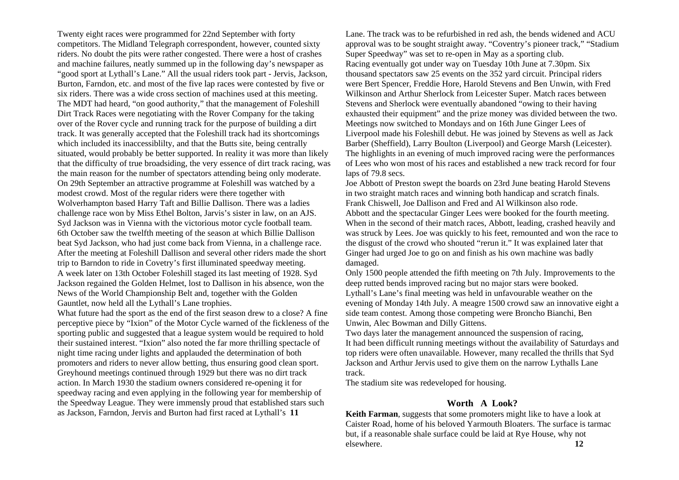Twenty eight races were programmed for 22nd September with forty competitors. The Midland Telegraph correspondent, however, counted sixty riders. No doubt the pits were rather congested. There were a host of crashes and machine failures, neatly summed up in the following day's newspaper as "good sport at Lythall's Lane." All the usual riders took part - Jervis, Jackson, Burton, Farndon, etc. and most of the five lap races were contested by five or six riders. There was a wide cross section of machines used at this meeting. The MDT had heard, "on good authority," that the management of Foleshill Dirt Track Races were negotiating with the Rover Company for the taking over of the Rover cycle and running track for the purpose of building a dirt track. It was generally accepted that the Foleshill track had its shortcomings which included its inaccessiblilty, and that the Butts site, being centrally situated, would probably be better supported. In reality it was more than likely that the difficulty of true broadsiding, the very essence of dirt track racing, was the main reason for the number of spectators attending being only moderate. On 29th September an attractive programme at Foleshill was watched by a modest crowd. Most of the regular riders were there together with Wolverhampton based Harry Taft and Billie Dallison. There was a ladies challenge race won by Miss Ethel Bolton, Jarvis's sister in law, on an AJS. Syd Jackson was in Vienna with the victorious motor cycle football team. 6th October saw the twelfth meeting of the season at which Billie Dallison beat Syd Jackson, who had just come back from Vienna, in a challenge race. After the meeting at Foleshill Dallison and several other riders made the short trip to Barndon to ride in Covetry's first illuminated speedway meeting. A week later on 13th October Foleshill staged its last meeting of 1928. Syd Jackson regained the Golden Helmet, lost to Dallison in his absence, won the News of the World Championship Belt and, together with the Golden Gauntlet, now held all the Lythall's Lane trophies.

What future had the sport as the end of the first season drew to a close? A fine perceptive piece by "Ixion" of the Motor Cycle warned of the fickleness of the sporting public and suggested that a league system would be required to hold their sustained interest. "Ixion" also noted the far more thrilling spectacle of night time racing under lights and applauded the determination of both promoters and riders to never allow betting, thus ensuring good clean sport. Greyhound meetings continued through 1929 but there was no dirt track action. In March 1930 the stadium owners considered re-opening it for speedway racing and even applying in the following year for membership of the Speedway League. They were immensly proud that established stars such as Jackson, Farndon, Jervis and Burton had first raced at Lythall's **11** 

Lane. The track was to be refurbished in red ash, the bends widened and ACU approval was to be sought straight away. "Coventry's pioneer track," "Stadium Super Speedway" was set to re-open in May as a sporting club. Racing eventually got under way on Tuesday 10th June at 7.30pm. Six thousand spectators saw 25 events on the 352 yard circuit. Principal riders were Bert Spencer, Freddie Hore, Harold Stevens and Ben Unwin, with Fred Wilkinson and Arthur Sherlock from Leicester Super. Match races between Stevens and Sherlock were eventually abandoned "owing to their having exhausted their equipment" and the prize money was divided between the two. Meetings now switched to Mondays and on 16th June Ginger Lees of Liverpool made his Foleshill debut. He was joined by Stevens as well as Jack Barber (Sheffield), Larry Boulton (Liverpool) and George Marsh (Leicester). The highlights in an evening of much improved racing were the performances of Lees who won most of his races and established a new track record for four laps of 79.8 secs.

Joe Abbott of Preston swept the boards on 23rd June beating Harold Stevens in two straight match races and winning both handicap and scratch finals. Frank Chiswell, Joe Dallison and Fred and Al Wilkinson also rode. Abbott and the spectacular Ginger Lees were booked for the fourth meeting. When in the second of their match races, Abbott, leading, crashed heavily and was struck by Lees. Joe was quickly to his feet, remounted and won the race to the disgust of the crowd who shouted "rerun it." It was explained later that Ginger had urged Joe to go on and finish as his own machine was badly damaged.

Only 1500 people attended the fifth meeting on 7th July. Improvements to the deep rutted bends improved racing but no major stars were booked. Lythall's Lane's final meeting was held in unfavourable weather on the evening of Monday 14th July. A meagre 1500 crowd saw an innovative eight a side team contest. Among those competing were Broncho Bianchi, Ben Unwin, Alec Bowman and Dilly Gittens.

Two days later the management announced the suspension of racing, It had been difficult running meetings without the availability of Saturdays and top riders were often unavailable. However, many recalled the thrills that Syd Jackson and Arthur Jervis used to give them on the narrow Lythalls Lane track.

The stadium site was redeveloped for housing.

## **Worth A Look?**

**Keith Farman**, suggests that some promoters might like to have a look at Caister Road, home of his beloved Yarmouth Bloaters. The surface is tarmac but, if a reasonable shale surface could be laid at Rye House, why not elsewhere. **12**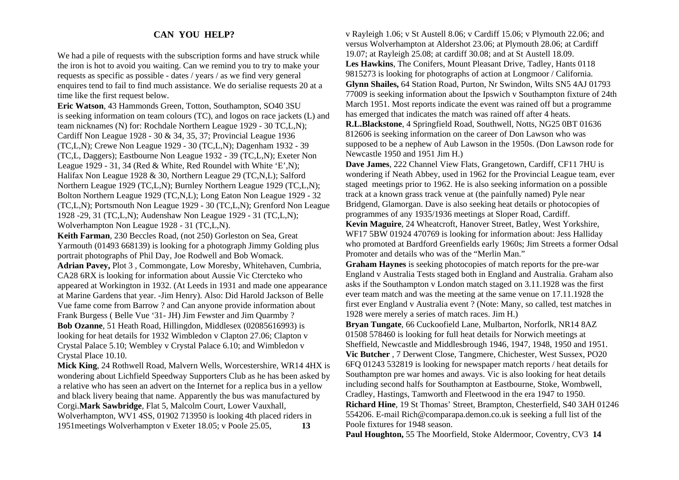## **CAN YOU HELP?**

We had a pile of requests with the subscription forms and have struck while the iron is hot to avoid you waiting. Can we remind you to try to make your requests as specific as possible - dates / years / as we find very general enquires tend to fail to find much assistance. We do serialise requests 20 at a time like the first request below.

**Eric Watson**, 43 Hammonds Green, Totton, Southampton, SO40 3SU is seeking information on team colours (TC), and logos on race jackets (L) and team nicknames (N) for: Rochdale Northern League 1929 - 30 TC,L,N); Cardiff Non League 1928 - 30 & 34, 35, 37; Provincial League 1936 (TC,L,N); Crewe Non League 1929 - 30 (TC,L,N); Dagenham 1932 - 39 (TC,L, Daggers); Eastbourne Non League 1932 - 39 (TC,L,N); Exeter Non League 1929 - 31, 34 (Red & White, Red Roundel with White 'E',N); Halifax Non League 1928 & 30, Northern League 29 (TC,N,L); Salford Northern League 1929 (TC,L,N); Burnley Northern League 1929 (TC,L,N); Bolton Northern League 1929 (TC,N,L); Long Eaton Non League 1929 - 32 (TC,L,N); Portsmouth Non League 1929 - 30 (TC,L,N); Grenford Non League 1928 -29, 31 (TC,L,N); Audenshaw Non League 1929 - 31 (TC,L,N); Wolverhampton Non League 1928 - 31 (TC,L,N).

**Keith Farman**, 230 Beccles Road, (not 250) Gorleston on Sea, Great Yarmouth (01493 668139) is looking for a photograph Jimmy Golding plus portrait photographs of Phil Day, Joe Rodwell and Bob Womack. **Adrian Pavey,** Plot 3 , Commongate, Low Moresby, Whitehaven, Cumbria, CA28 6RX is looking for information about Aussie Vic Ctercteko who appeared at Workington in 1932. (At Leeds in 1931 and made one appearance at Marine Gardens that year. -Jim Henry). Also: Did Harold Jackson of Belle Vue fame come from Barrow ? and Can anyone provide information about Frank Burgess ( Belle Vue '31- JH) Jim Fewster and Jim Quarmby ? **Bob Ozanne**, 51 Heath Road, Hillingdon, Middlesex (02085616993) is looking for heat details for 1932 Wimbledon v Clapton 27.06; Clapton v Crystal Palace 5.10; Wembley v Crystal Palace 6.10; and Wimbledon v Crystal Place 10.10.

**Mick King**, 24 Rothwell Road, Malvern Wells, Worcestershire, WR14 4HX is wondering about Lichfield Speedway Supporters Club as he has been asked by a relative who has seen an advert on the Internet for a replica bus in a yellow and black livery beaing that name. Apparently the bus was manufactured by Corgi.**Mark Sawbridge**, Flat 5, Malcolm Court, Lower Vauxhall, Wolverhampton, WV1 4SS, 01902 713950 is looking 4th placed riders in 1951meetings Wolverhampton v Exeter 18.05; v Poole 25.05, **13**

v Rayleigh 1.06; v St Austell 8.06; v Cardiff 15.06; v Plymouth 22.06; and versus Wolverhampton at Aldershot 23.06; at Plymouth 28.06; at Cardiff 19.07; at Rayleigh 25.08; at cardiff 30.08; and at St Austell 18.09. **Les Hawkins**, The Conifers, Mount Pleasant Drive, Tadley, Hants 0118 9815273 is looking for photographs of action at Longmoor / California. **Glynn Shailes,** 64 Station Road, Purton, Nr Swindon, Wilts SN5 4AJ 01793 77009 is seeking information about the Ipswich v Southampton fixture of 24th March 1951. Most reports indicate the event was rained off but a programme has emerged that indicates the match was rained off after 4 heats.

**R.L.Blackstone**, 4 Springfield Road, Southwell, Notts, NG25 0BT 01636 812606 is seeking information on the career of Don Lawson who was supposed to be a nephew of Aub Lawson in the 1950s. (Don Lawson rode for Newcastle 1950 and 1951 Jim H.)

**Dave James**, 222 Channel View Flats, Grangetown, Cardiff, CF11 7HU is wondering if Neath Abbey, used in 1962 for the Provincial League team, ever staged meetings prior to 1962. He is also seeking information on a possible track at a known grass track venue at (the painfully named) Pyle near Bridgend, Glamorgan. Dave is also seeking heat details or photocopies of programmes of any 1935/1936 meetings at Sloper Road, Cardiff.

**Kevin Maguire**, 24 Wheatcroft, Hanover Street, Batley, West Yorkshire, WF17 5BW 01924 470769 is looking for information about: Jess Halliday who promoted at Bardford Greenfields early 1960s; Jim Streets a former Odsal Promoter and details who was of the "Merlin Man."

**Graham Haynes** is seeking photocopies of match reports for the pre-war England v Australia Tests staged both in England and Australia. Graham also asks if the Southampton v London match staged on 3.11.1928 was the first ever team match and was the meeting at the same venue on 17.11.1928 the first ever England v Australia event ? (Note: Many, so called, test matches in 1928 were merely a series of match races. Jim H.)

**Bryan Tungate**, 66 Cuckoofield Lane, Mulbarton, Norforlk, NR14 8AZ 01508 578460 is looking for full heat details for Norwich meetings at Sheffield, Newcastle and Middlesbrough 1946, 1947, 1948, 1950 and 1951. **Vic Butcher** , 7 Derwent Close, Tangmere, Chichester, West Sussex, PO20 6FQ 01243 532819 is looking for newspaper match reports / heat details for Southampton pre war homes and aways. Vic is also looking for heat details including second halfs for Southampton at Eastbourne, Stoke, Wombwell, Cradley, Hastings, Tamworth and Fleetwood in the era 1947 to 1950. **Richard Hine**, 19 St Thomas' Street, Brampton, Chesterfield, S40 3AH 01246 554206. E-mail Rich@comparapa.demon.co.uk is seeking a full list of the Poole fixtures for 1948 season.

**Paul Houghton,** 55 The Moorfield, Stoke Aldermoor, Coventry, CV3 **14**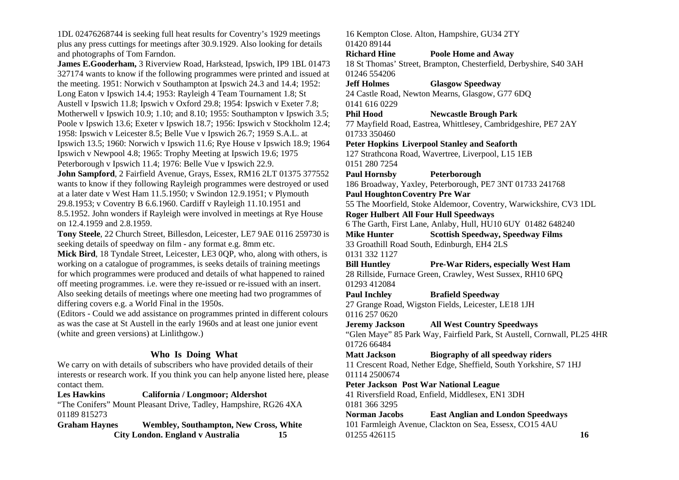1DL 02476268744 is seeking full heat results for Coventry's 1929 meetings plus any press cuttings for meetings after 30.9.1929. Also looking for details and photographs of Tom Farndon.

**James E.Gooderham,** 3 Riverview Road, Harkstead, Ipswich, IP9 1BL 01473 327174 wants to know if the following programmes were printed and issued at the meeting. 1951: Norwich v Southampton at Ipswich 24.3 and 14.4; 1952: Long Eaton v Ipswich 14.4; 1953: Rayleigh 4 Team Tournament 1.8; St Austell v Ipswich 11.8; Ipswich v Oxford 29.8; 1954: Ipswich v Exeter 7.8; Motherwell v Ipswich 10.9; 1.10; and 8.10; 1955: Southampton v Ipswich 3.5; Poole v Ipswich 13.6; Exeter v Ipswich 18.7; 1956: Ipswich v Stockholm 12.4; 1958: Ipswich v Leicester 8.5; Belle Vue v Ipswich 26.7; 1959 S.A.L. at Ipswich 13.5; 1960: Norwich v Ipswich 11.6; Rye House v Ipswich 18.9; 1964 Ipswich v Newpool 4.8; 1965: Trophy Meeting at Ipswich 19.6; 1975 Peterborough v Ipswich 11.4; 1976: Belle Vue v Ipswich 22.9.

**John Sampford**, 2 Fairfield Avenue, Grays, Essex, RM16 2LT 01375 377552 wants to know if they following Rayleigh programmes were destroyed or used at a later date v West Ham 11.5.1950; v Swindon 12.9.1951; v Plymouth 29.8.1953; v Coventry B 6.6.1960. Cardiff v Rayleigh 11.10.1951 and 8.5.1952. John wonders if Rayleigh were involved in meetings at Rye House on 12.4.1959 and 2.8.1959.

**Tony Steele**, 22 Church Street, Billesdon, Leicester, LE7 9AE 0116 259730 is seeking details of speedway on film - any format e.g. 8mm etc.

**Mick Bird**, 18 Tyndale Street, Leicester, LE3 0QP, who, along with others, is working on a catalogue of programmes, is seeks details of training meetings for which programmes were produced and details of what happened to rained off meeting programmes. i.e. were they re-issued or re-issued with an insert. Also seeking details of meetings where one meeting had two programmes of differing covers e.g. a World Final in the 1950s.

(Editors - Could we add assistance on programmes printed in different colours as was the case at St Austell in the early 1960s and at least one junior event (white and green versions) at Linlithgow.)

# **Who Is Doing What**

We carry on with details of subscribers who have provided details of their interests or research work. If you think you can help anyone listed here, please contact them.

**Les Hawkins California / Longmoor; Aldershot** 

"The Conifers" Mount Pleasant Drive, Tadley, Hampshire, RG26 4XA 01189 815273

**Graham Haynes Wembley, Southampton, New Cross, White City London. England v Australia 15** 

16 Kempton Close. Alton, Hampshire, GU34 2TY 01420 89144

#### **Richard Hine Poole Home and Away**

18 St Thomas' Street, Brampton, Chesterfield, Derbyshire, S40 3AH 01246 554206

## **Jeff Holmes Glasgow Speedway**

24 Castle Road, Newton Mearns, Glasgow, G77 6DQ 0141 616 0229

## **Phil Hood Newcastle Brough Park**

77 Mayfield Road, Eastrea, Whittlesey, Cambridgeshire, PE7 2AY 01733 350460

#### **Peter Hopkins Liverpool Stanley and Seaforth**

127 Strathcona Road, Wavertree, Liverpool, L15 1EB 0151 280 7254

#### **Paul Hornsby Peterborough**

186 Broadway, Yaxley, Peterborough, PE7 3NT 01733 241768

## **Paul Houghton Coventry Pre War**

55 The Moorfield, Stoke Aldemoor, Coventry, Warwickshire, CV3 1DL **Roger Hulbert All Four Hull Speedways** 

6 The Garth, First Lane, Anlaby, Hull, HU10 6UY 01482 648240

**Mike Hunter Scottish Speedway, Speedway Films**  33 Groathill Road South, Edinburgh, EH4 2LS 0131 332 1127

**Bill Huntley Pre-War Riders, especially West Ham**  28 Rillside, Furnace Green, Crawley, West Sussex, RH10 6PQ 01293 412084

**Paul Inchley Brafield Speedway** 

27 Grange Road, Wigston Fields, Leicester, LE18 1JH 0116 257 0620

**Jeremy Jackson All West Country Speedways** 

"Glen Maye" 85 Park Way, Fairfield Park, St Austell, Cornwall, PL25 4HR 01726 66484

#### **Matt Jackson Biography of all speedway riders**

11 Crescent Road, Nether Edge, Sheffield, South Yorkshire, S7 1HJ 01114 2500674

## **Peter Jackson Post War National League**

41 Riversfield Road, Enfield, Middlesex, EN1 3DH 0181 366 3295

**Norman Jacobs East Anglian and London Speedways**  101 Farmleigh Avenue, Clackton on Sea, Essesx, CO15 4AU 01255 426115 **16**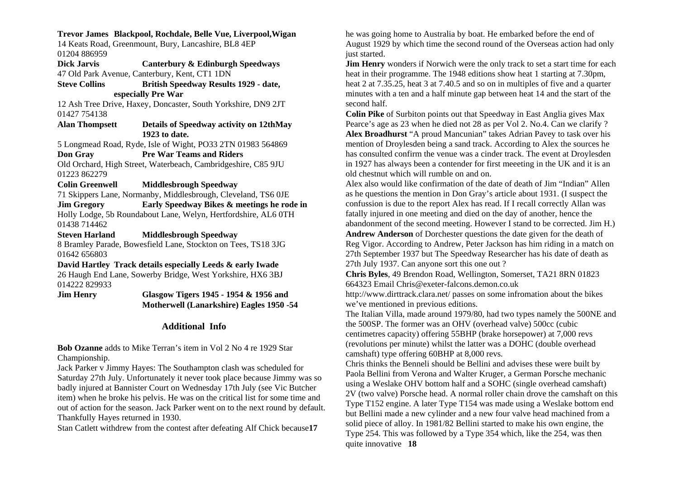#### **Trevor James Blackpool, Rochdale, Belle Vue, Liverpool,Wigan**

14 Keats Road, Greenmount, Bury, Lancashire, BL8 4EP 01204 886959

**Dick Jarvis Canterbury & Edinburgh Speedways**  47 Old Park Avenue, Canterbury, Kent, CT1 1DN

**Steve Collins British Speedway Results 1929 - date, especially Pre War** 

12 Ash Tree Drive, Haxey, Doncaster, South Yorkshire, DN9 2JT 01427 754138

**Alan Thompsett Details of Speedway activity on 12thMay 1923 to date.** 

5 Longmead Road, Ryde, Isle of Wight, PO33 2TN 01983 564869 **Don Gray Pre War Teams and Riders** 

Old Orchard, High Street, Waterbeach, Cambridgeshire, C85 9JU 01223 862279

#### **Colin Greenwell Middlesbrough Speedway**

71 Skippers Lane, Normanby, Middlesbrough, Cleveland, TS6 0JE

**Jim Gregory Early Speedway Bikes & meetings he rode in**  Holly Lodge, 5b Roundabout Lane, Welyn, Hertfordshire, AL6 0TH 01438 714462

#### **Steven Harland Middlesbrough Speedway**

8 Bramley Parade, Bowesfield Lane, Stockton on Tees, TS18 3JG 01642 656803

#### **David Hartley Track details especially Leeds & early Iwade**

26 Haugh End Lane, Sowerby Bridge, West Yorkshire, HX6 3BJ 014222 829933

**Jim Henry Glasgow Tigers 1945 - 1954 & 1956 and Motherwell (Lanarkshire) Eagles 1950 -54** 

#### **Additional Info**

**Bob Ozanne** adds to Mike Terran's item in Vol 2 No 4 re 1929 Star Championship.

Jack Parker v Jimmy Hayes: The Southampton clash was scheduled for Saturday 27th July. Unfortunately it never took place because Jimmy was so badly injured at Bannister Court on Wednesday 17th July (see Vic Butcher item) when he broke his pelvis. He was on the critical list for some time and out of action for the season. Jack Parker went on to the next round by default. Thankfully Hayes returned in 1930.

Stan Catlett withdrew from the contest after defeating Alf Chick because**17** 

he was going home to Australia by boat. He embarked before the end of August 1929 by which time the second round of the Overseas action had only just started.

**Jim Henry** wonders if Norwich were the only track to set a start time for each heat in their programme. The 1948 editions show heat 1 starting at 7.30pm, heat 2 at 7.35.25, heat 3 at 7.40.5 and so on in multiples of five and a quarter minutes with a ten and a half minute gap between heat 14 and the start of the second half.

**Colin Pike** of Surbiton points out that Speedway in East Anglia gives Max Pearce's age as 23 when he died not 28 as per Vol 2. No.4. Can we clarify ? **Alex Broadhurst** "A proud Mancunian" takes Adrian Pavey to task over his mention of Droylesden being a sand track. According to Alex the sources he has consulted confirm the venue was a cinder track. The event at Droylesden in 1927 has always been a contender for first meeeting in the UK and it is an old chestnut which will rumble on and on.

Alex also would like confirmation of the date of death of Jim "Indian" Allen as he questions the mention in Don Gray's article about 1931. (I suspect the confussion is due to the report Alex has read. If I recall correctly Allan was fatally injured in one meeting and died on the day of another, hence the abandonment of the second meeting. However I stand to be corrected. Jim H.) **Andrew Anderson** of Dorchester questions the date given for the death of Reg Vigor. According to Andrew, Peter Jackson has him riding in a match on 27th September 1937 but The Speedway Researcher has his date of death as 27th July 1937. Can anyone sort this one out ?

**Chris Byles**, 49 Brendon Road, Wellington, Somerset, TA21 8RN 01823 664323 Email Chris@exeter-falcons.demon.co.uk

http://www.dirttrack.clara.net/ passes on some infromation about the bikes we've mentioned in previous editions.

The Italian Villa, made around 1979/80, had two types namely the 500NE and the 500SP. The former was an OHV (overhead valve) 500cc (cubic centimetres capacity) offering 55BHP (brake horsepower) at 7,000 revs (revolutions per minute) whilst the latter was a DOHC (double overhead camshaft) type offering 60BHP at 8,000 revs.

Chris thinks the Benneli should be Bellini and advises these were built by Paola Bellini from Verona and Walter Kruger, a German Porsche mechanic using a Weslake OHV bottom half and a SOHC (single overhead camshaft) 2V (two valve) Porsche head. A normal roller chain drove the camshaft on this Type T152 engine. A later Type T154 was made using a Weslake bottom end but Bellini made a new cylinder and a new four valve head machined from a solid piece of alloy. In 1981/82 Bellini started to make his own engine, the Type 254. This was followed by a Type 354 which, like the 254, was then quite innovative **18**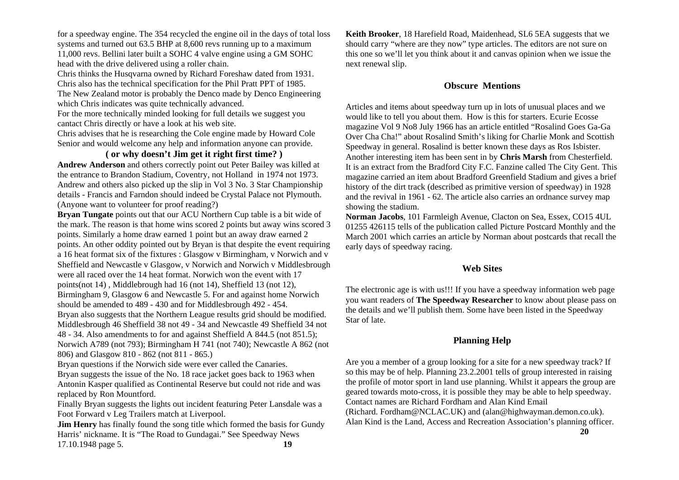for a speedway engine. The 354 recycled the engine oil in the days of total loss systems and turned out 63.5 BHP at 8,600 revs running up to a maximum 11,000 revs. Bellini later built a SOHC 4 valve engine using a GM SOHC head with the drive delivered using a roller chain.

Chris thinks the Husqvarna owned by Richard Foreshaw dated from 1931. Chris also has the technical specification for the Phil Pratt PPT of 1985. The New Zealand motor is probably the Denco made by Denco Engineering which Chris indicates was quite technically advanced.

For the more technically minded looking for full details we suggest you cantact Chris directly or have a look at his web site.

Chris advises that he is researching the Cole engine made by Howard Cole Senior and would welcome any help and information anyone can provide.

## **( or why doesn't Jim get it right first time? )**

**Andrew Anderson** and others correctly point out Peter Bailey was killed at the entrance to Brandon Stadium, Coventry, not Holland in 1974 not 1973. Andrew and others also picked up the slip in Vol 3 No. 3 Star Championship details - Francis and Farndon should indeed be Crystal Palace not Plymouth. (Anyone want to volunteer for proof reading?)

**Bryan Tungate** points out that our ACU Northern Cup table is a bit wide of the mark. The reason is that home wins scored 2 points but away wins scored 3 points. Similarly a home draw earned 1 point but an away draw earned 2 points. An other oddity pointed out by Bryan is that despite the event requiring a 16 heat format six of the fixtures : Glasgow v Birmingham, v Norwich and v Sheffield and Newcastle v Glasgow, v Norwich and Norwich v Middlesbrough were all raced over the 14 heat format. Norwich won the event with 17 points(not 14) , Middlebrough had 16 (not 14), Sheffield 13 (not 12), Birmingham 9, Glasgow 6 and Newcastle 5. For and against home Norwich should be amended to 489 - 430 and for Middlesbrough 492 - 454. Bryan also suggests that the Northern League results grid should be modified. Middlesbrough 46 Sheffield 38 not 49 - 34 and Newcastle 49 Sheffield 34 not 48 - 34. Also amendments to for and against Sheffield A 844.5 (not 851.5); Norwich A789 (not 793); Birmingham H 741 (not 740); Newcastle A 862 (not 806) and Glasgow 810 - 862 (not 811 - 865.)

Bryan questions if the Norwich side were ever called the Canaries.

Bryan suggests the issue of the No. 18 race jacket goes back to 1963 when Antonin Kasper qualified as Continental Reserve but could not ride and was replaced by Ron Mountford.

Finally Bryan suggests the lights out incident featuring Peter Lansdale was a Foot Forward v Leg Trailers match at Liverpool.

**Jim Henry** has finally found the song title which formed the basis for Gundy Harris' nickname. It is "The Road to Gundagai." See Speedway News 17.10.1948 page 5. **19**

**Keith Brooker**, 18 Harefield Road, Maidenhead, SL6 5EA suggests that we should carry "where are they now" type articles. The editors are not sure on this one so we'll let you think about it and canvas opinion when we issue the next renewal slip.

## **Obscure Mentions**

Articles and items about speedway turn up in lots of unusual places and we would like to tell you about them. How is this for starters. Ecurie Ecosse magazine Vol 9 No8 July 1966 has an article entitled "Rosalind Goes Ga-Ga Over Cha Cha!" about Rosalind Smith's liking for Charlie Monk and Scottish Speedway in general. Rosalind is better known these days as Ros Isbister. Another interesting item has been sent in by **Chris Marsh** from Chesterfield. It is an extract from the Bradford City F.C. Fanzine called The City Gent. This magazine carried an item about Bradford Greenfield Stadium and gives a brief history of the dirt track (described as primitive version of speedway) in 1928 and the revival in 1961 - 62. The article also carries an ordnance survey map showing the stadium.

**Norman Jacobs**, 101 Farmleigh Avenue, Clacton on Sea, Essex, CO15 4UL 01255 426115 tells of the publication called Picture Postcard Monthly and the March 2001 which carries an article by Norman about postcards that recall the early days of speedway racing.

## **Web Sites**

The electronic age is with us!!! If you have a speedway information web page you want readers of **The Speedway Researcher** to know about please pass on the details and we'll publish them. Some have been listed in the Speedway Star of late.

# **Planning Help**

Are you a member of a group looking for a site for a new speedway track? If so this may be of help. Planning 23.2.2001 tells of group interested in raising the profile of motor sport in land use planning. Whilst it appears the group are geared towards moto-cross, it is possible they may be able to help speedway. Contact names are Richard Fordham and Alan Kind Email (Richard. Fordham@NCLAC.UK) and (alan@highwayman.demon.co.uk). Alan Kind is the Land, Access and Recreation Association's planning officer.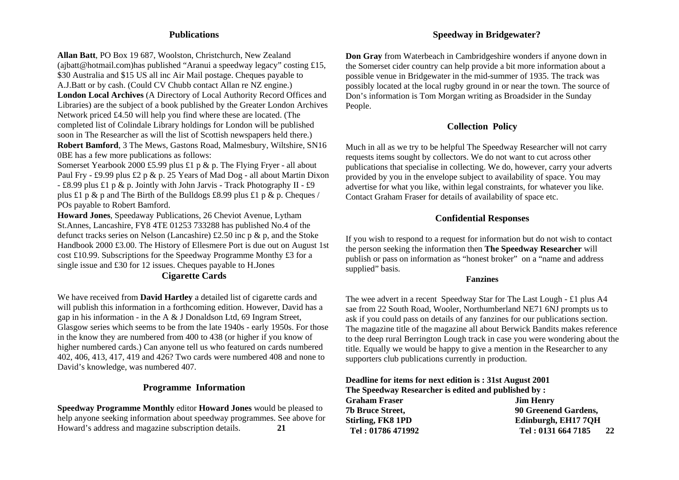## **Publications**

**Allan Batt**, PO Box 19 687, Woolston, Christchurch, New Zealand (ajbatt@hotmail.com)has published "Aranui a speedway legacy" costing £15, \$30 Australia and \$15 US all inc Air Mail postage. Cheques payable to A.J.Batt or by cash. (Could CV Chubb contact Allan re NZ engine.) **London Local Archives** (A Directory of Local Authority Record Offices and Libraries) are the subject of a book published by the Greater London Archives Network priced £4.50 will help you find where these are located. (The completed list of Colindale Library holdings for London will be published soon in The Researcher as will the list of Scottish newspapers held there.) **Robert Bamford**, 3 The Mews, Gastons Road, Malmesbury, Wiltshire, SN16 0BE has a few more publications as follows:

Somerset Yearbook 2000 £5.99 plus £1 p & p. The Flying Fryer - all about Paul Fry - £9.99 plus £2 p & p. 25 Years of Mad Dog - all about Martin Dixon - £8.99 plus £1 p & p. Jointly with John Jarvis - Track Photography II - £9 plus £1 p & p and The Birth of the Bulldogs £8.99 plus £1 p & p. Cheques / POs payable to Robert Bamford.

**Howard Jones**, Speedaway Publications, 26 Cheviot Avenue, Lytham St.Annes, Lancashire, FY8 4TE 01253 733288 has published No.4 of the defunct tracks series on Nelson (Lancashire) £2.50 inc p & p, and the Stoke Handbook 2000 £3.00. The History of Ellesmere Port is due out on August 1st cost £10.99. Subscriptions for the Speedway Programme Monthy £3 for a single issue and £30 for 12 issues. Cheques payable to H.Jones

## **Cigarette Cards**

We have received from **David Hartley** a detailed list of cigarette cards and will publish this information in a forthcoming edition. However, David has a gap in his information - in the A & J Donaldson Ltd, 69 Ingram Street, Glasgow series which seems to be from the late 1940s - early 1950s. For those in the know they are numbered from 400 to 438 (or higher if you know of higher numbered cards.) Can anyone tell us who featured on cards numbered 402, 406, 413, 417, 419 and 426? Two cards were numbered 408 and none to David's knowledge, was numbered 407.

#### **Programme Information**

**Speedway Programme Monthly** editor **Howard Jones** would be pleased to help anyone seeking information about speedway programmes. See above for Howard's address and magazine subscription details. **21** 

## **Speedway in Bridgewater?**

**Don Gray** from Waterbeach in Cambridgeshire wonders if anyone down in the Somerset cider country can help provide a bit more information about a possible venue in Bridgewater in the mid-summer of 1935. The track was possibly located at the local rugby ground in or near the town. The source of Don's information is Tom Morgan writing as Broadsider in the Sunday People.

## **Collection Policy**

Much in all as we try to be helpful The Speedway Researcher will not carry requests items sought by collectors. We do not want to cut across other publications that specialise in collecting. We do, however, carry your adverts provided by you in the envelope subject to availability of space. You may advertise for what you like, within legal constraints, for whatever you like. Contact Graham Fraser for details of availability of space etc.

## **Confidential Responses**

If you wish to respond to a request for information but do not wish to contact the person seeking the information then **The Speedway Researcher** will publish or pass on information as "honest broker" on a "name and address supplied" basis.

#### **Fanzines**

The wee advert in a recent Speedway Star for The Last Lough - £1 plus A4 sae from 22 South Road, Wooler, Northumberland NE71 6NJ prompts us to ask if you could pass on details of any fanzines for our publications section. The magazine title of the magazine all about Berwick Bandits makes reference to the deep rural Berrington Lough track in case you were wondering about the title. Equally we would be happy to give a mention in the Researcher to any supporters club publications currently in production.

**Deadline for items for next edition is : 31st August 2001 The Speedway Researcher is edited and published by : Graham Fraser Jim Henry**  Jim Henry **7b Bruce Street, 90 Greenend Gardens,**  Stirling, FK8 1PD **Edinburgh, EH17 7QH Tel : 01786 471992 Tel : 0131 664 7185 22**